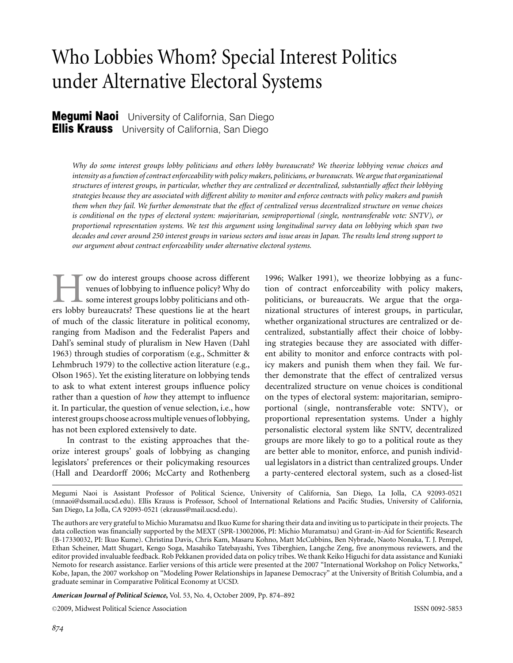# Who Lobbies Whom? Special Interest Politics under Alternative Electoral Systems

**Megumi Naoi** University of California, San Diego **Ellis Krauss** University of California, San Diego

*Why do some interest groups lobby politicians and others lobby bureaucrats? We theorize lobbying venue choices and intensity as a function of contract enforceability with policy makers, politicians, or bureaucrats. We argue that organizational structures of interest groups, in particular, whether they are centralized or decentralized, substantially affect their lobbying strategies because they are associated with different ability to monitor and enforce contracts with policy makers and punish them when they fail. We further demonstrate that the effect of centralized versus decentralized structure on venue choices is conditional on the types of electoral system: majoritarian, semiproportional (single, nontransferable vote: SNTV), or proportional representation systems. We test this argument using longitudinal survey data on lobbying which span two decades and cover around 250 interest groups in various sectors and issue areas in Japan. The results lend strong support to our argument about contract enforceability under alternative electoral systems.*

Tow do interest groups choose across different<br>venues of lobbying to influence policy? Why do<br>some interest groups lobby politicians and oth-<br>ers lobby bureaucrats? These questions lie at the heart venues of lobbying to influence policy? Why do some interest groups lobby politicians and others lobby bureaucrats? These questions lie at the heart of much of the classic literature in political economy, ranging from Madison and the Federalist Papers and Dahl's seminal study of pluralism in New Haven (Dahl 1963) through studies of corporatism (e.g., Schmitter & Lehmbruch 1979) to the collective action literature (e.g., Olson 1965). Yet the existing literature on lobbying tends to ask to what extent interest groups influence policy rather than a question of *how* they attempt to influence it. In particular, the question of venue selection, i.e., how interest groups choose across multiple venues of lobbying, has not been explored extensively to date.

In contrast to the existing approaches that theorize interest groups' goals of lobbying as changing legislators' preferences or their policymaking resources (Hall and Deardorff 2006; McCarty and Rothenberg 1996; Walker 1991), we theorize lobbying as a function of contract enforceability with policy makers, politicians, or bureaucrats. We argue that the organizational structures of interest groups, in particular, whether organizational structures are centralized or decentralized, substantially affect their choice of lobbying strategies because they are associated with different ability to monitor and enforce contracts with policy makers and punish them when they fail. We further demonstrate that the effect of centralized versus decentralized structure on venue choices is conditional on the types of electoral system: majoritarian, semiproportional (single, nontransferable vote: SNTV), or proportional representation systems. Under a highly personalistic electoral system like SNTV, decentralized groups are more likely to go to a political route as they are better able to monitor, enforce, and punish individual legislators in a district than centralized groups. Under a party-centered electoral system, such as a closed-list

Megumi Naoi is Assistant Professor of Political Science, University of California, San Diego, La Jolla, CA 92093-0521 (mnaoi@dssmail.ucsd.edu). Ellis Krauss is Professor, School of International Relations and Pacific Studies, University of California, San Diego, La Jolla, CA 92093-0521 (ekrauss@mail.ucsd.edu).

*American Journal of Political Science***,** Vol. 53, No. 4, October 2009, Pp. 874–892

C2009, Midwest Political Science Association in the control of the control of the control of the control of the control of the control of the control of the control of the control of the control of the control of the contr

The authors are very grateful to Michio Muramatsu and Ikuo Kume for sharing their data and inviting us to participate in their projects. The data collection was financially supported by the MEXT (SPR-13002006, PI: Michio Muramatsu) and Grant-in-Aid for Scientific Research (B-17330032, PI: Ikuo Kume). Christina Davis, Chris Kam, Masaru Kohno, Matt McCubbins, Ben Nybrade, Naoto Nonaka, T. J. Pempel, Ethan Scheiner, Matt Shugart, Kengo Soga, Masahiko Tatebayashi, Yves Tiberghien, Langche Zeng, five anonymous reviewers, and the editor provided invaluable feedback. Rob Pekkanen provided data on policy tribes. We thank Keiko Higuchi for data assistance and Kuniaki Nemoto for research assistance. Earlier versions of this article were presented at the 2007 "International Workshop on Policy Networks," Kobe, Japan, the 2007 workshop on "Modeling Power Relationships in Japanese Democracy" at the University of British Columbia, and a graduate seminar in Comparative Political Economy at UCSD.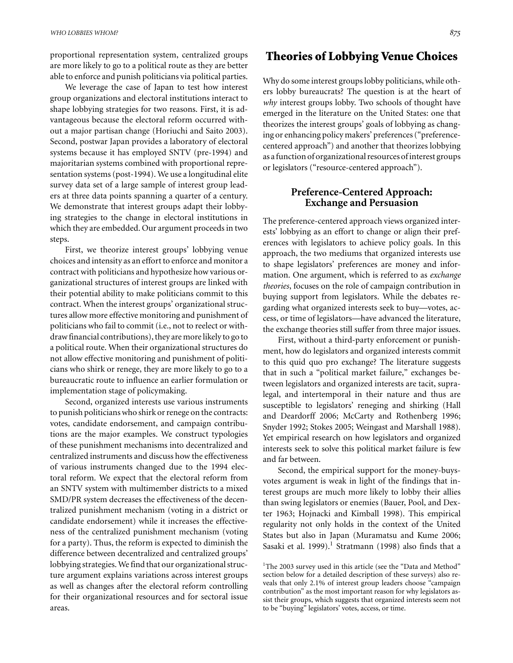proportional representation system, centralized groups are more likely to go to a political route as they are better able to enforce and punish politicians via political parties.

We leverage the case of Japan to test how interest group organizations and electoral institutions interact to shape lobbying strategies for two reasons. First, it is advantageous because the electoral reform occurred without a major partisan change (Horiuchi and Saito 2003). Second, postwar Japan provides a laboratory of electoral systems because it has employed SNTV (pre-1994) and majoritarian systems combined with proportional representation systems (post-1994). We use a longitudinal elite survey data set of a large sample of interest group leaders at three data points spanning a quarter of a century. We demonstrate that interest groups adapt their lobbying strategies to the change in electoral institutions in which they are embedded. Our argument proceeds in two steps.

First, we theorize interest groups' lobbying venue choices and intensity as an effort to enforce and monitor a contract with politicians and hypothesize how various organizational structures of interest groups are linked with their potential ability to make politicians commit to this contract. When the interest groups' organizational structures allow more effective monitoring and punishment of politicians who fail to commit (i.e., not to reelect or withdraw financial contributions), they are more likely to go to a political route. When their organizational structures do not allow effective monitoring and punishment of politicians who shirk or renege, they are more likely to go to a bureaucratic route to influence an earlier formulation or implementation stage of policymaking.

Second, organized interests use various instruments to punish politicians who shirk or renege on the contracts: votes, candidate endorsement, and campaign contributions are the major examples. We construct typologies of these punishment mechanisms into decentralized and centralized instruments and discuss how the effectiveness of various instruments changed due to the 1994 electoral reform. We expect that the electoral reform from an SNTV system with multimember districts to a mixed SMD/PR system decreases the effectiveness of the decentralized punishment mechanism (voting in a district or candidate endorsement) while it increases the effectiveness of the centralized punishment mechanism (voting for a party). Thus, the reform is expected to diminish the difference between decentralized and centralized groups' lobbying strategies. We find that our organizational structure argument explains variations across interest groups as well as changes after the electoral reform controlling for their organizational resources and for sectoral issue areas.

## **Theories of Lobbying Venue Choices**

Why do some interest groups lobby politicians, while others lobby bureaucrats? The question is at the heart of *why* interest groups lobby. Two schools of thought have emerged in the literature on the United States: one that theorizes the interest groups' goals of lobbying as changing or enhancing policy makers' preferences ("preferencecentered approach") and another that theorizes lobbying as a function of organizational resources of interest groups or legislators ("resource-centered approach").

## **Preference-Centered Approach: Exchange and Persuasion**

The preference-centered approach views organized interests' lobbying as an effort to change or align their preferences with legislators to achieve policy goals. In this approach, the two mediums that organized interests use to shape legislators' preferences are money and information. One argument, which is referred to as *exchange theories*, focuses on the role of campaign contribution in buying support from legislators. While the debates regarding what organized interests seek to buy—votes, access, or time of legislators—have advanced the literature, the exchange theories still suffer from three major issues.

First, without a third-party enforcement or punishment, how do legislators and organized interests commit to this quid quo pro exchange? The literature suggests that in such a "political market failure," exchanges between legislators and organized interests are tacit, supralegal, and intertemporal in their nature and thus are susceptible to legislators' reneging and shirking (Hall and Deardorff 2006; McCarty and Rothenberg 1996; Snyder 1992; Stokes 2005; Weingast and Marshall 1988). Yet empirical research on how legislators and organized interests seek to solve this political market failure is few and far between.

Second, the empirical support for the money-buysvotes argument is weak in light of the findings that interest groups are much more likely to lobby their allies than swing legislators or enemies (Bauer, Pool, and Dexter 1963; Hojnacki and Kimball 1998). This empirical regularity not only holds in the context of the United States but also in Japan (Muramatsu and Kume 2006; Sasaki et al. 1999).<sup>1</sup> Stratmann (1998) also finds that a

<sup>1</sup>The 2003 survey used in this article (see the "Data and Method" section below for a detailed description of these surveys) also reveals that only 2.1% of interest group leaders choose "campaign contribution" as the most important reason for why legislators assist their groups, which suggests that organized interests seem not to be "buying" legislators' votes, access, or time.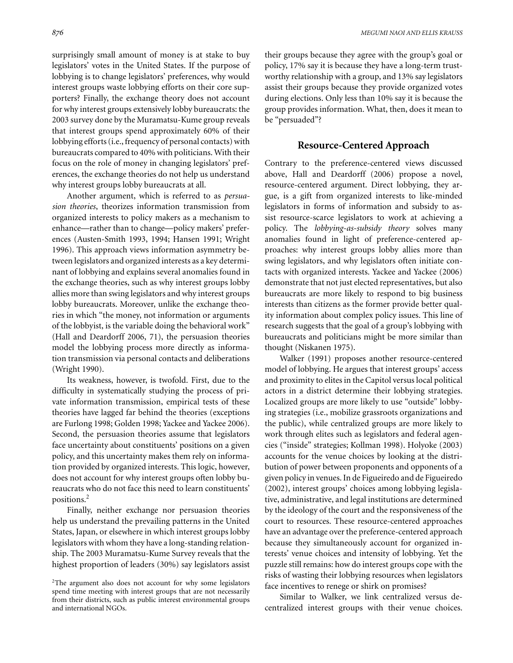surprisingly small amount of money is at stake to buy legislators' votes in the United States. If the purpose of lobbying is to change legislators' preferences, why would interest groups waste lobbying efforts on their core supporters? Finally, the exchange theory does not account for why interest groups extensively lobby bureaucrats: the 2003 survey done by the Muramatsu-Kume group reveals that interest groups spend approximately 60% of their lobbying efforts (i.e., frequency of personal contacts) with bureaucrats compared to 40% with politicians. With their focus on the role of money in changing legislators' preferences, the exchange theories do not help us understand why interest groups lobby bureaucrats at all.

Another argument, which is referred to as *persuasion theories*, theorizes information transmission from organized interests to policy makers as a mechanism to enhance—rather than to change—policy makers' preferences (Austen-Smith 1993, 1994; Hansen 1991; Wright 1996). This approach views information asymmetry between legislators and organized interests as a key determinant of lobbying and explains several anomalies found in the exchange theories, such as why interest groups lobby allies more than swing legislators and why interest groups lobby bureaucrats. Moreover, unlike the exchange theories in which "the money, not information or arguments of the lobbyist, is the variable doing the behavioral work" (Hall and Deardorff 2006, 71), the persuasion theories model the lobbying process more directly as information transmission via personal contacts and deliberations (Wright 1990).

Its weakness, however, is twofold. First, due to the difficulty in systematically studying the process of private information transmission, empirical tests of these theories have lagged far behind the theories (exceptions are Furlong 1998; Golden 1998; Yackee and Yackee 2006). Second, the persuasion theories assume that legislators face uncertainty about constituents' positions on a given policy, and this uncertainty makes them rely on information provided by organized interests. This logic, however, does not account for why interest groups often lobby bureaucrats who do not face this need to learn constituents' positions.<sup>2</sup>

Finally, neither exchange nor persuasion theories help us understand the prevailing patterns in the United States, Japan, or elsewhere in which interest groups lobby legislators with whom they have a long-standing relationship. The 2003 Muramatsu-Kume Survey reveals that the highest proportion of leaders (30%) say legislators assist

their groups because they agree with the group's goal or policy, 17% say it is because they have a long-term trustworthy relationship with a group, and 13% say legislators assist their groups because they provide organized votes during elections. Only less than 10% say it is because the group provides information. What, then, does it mean to be "persuaded"?

#### **Resource-Centered Approach**

Contrary to the preference-centered views discussed above, Hall and Deardorff (2006) propose a novel, resource-centered argument. Direct lobbying, they argue, is a gift from organized interests to like-minded legislators in forms of information and subsidy to assist resource-scarce legislators to work at achieving a policy. The *lobbying-as-subsidy theory* solves many anomalies found in light of preference-centered approaches: why interest groups lobby allies more than swing legislators, and why legislators often initiate contacts with organized interests. Yackee and Yackee (2006) demonstrate that not just elected representatives, but also bureaucrats are more likely to respond to big business interests than citizens as the former provide better quality information about complex policy issues. This line of research suggests that the goal of a group's lobbying with bureaucrats and politicians might be more similar than thought (Niskanen 1975).

Walker (1991) proposes another resource-centered model of lobbying. He argues that interest groups' access and proximity to elites in the Capitol versus local political actors in a district determine their lobbying strategies. Localized groups are more likely to use "outside" lobbying strategies (i.e., mobilize grassroots organizations and the public), while centralized groups are more likely to work through elites such as legislators and federal agencies ("inside" strategies; Kollman 1998). Holyoke (2003) accounts for the venue choices by looking at the distribution of power between proponents and opponents of a given policy in venues. In de Figueiredo and de Figueiredo (2002), interest groups' choices among lobbying legislative, administrative, and legal institutions are determined by the ideology of the court and the responsiveness of the court to resources. These resource-centered approaches have an advantage over the preference-centered approach because they simultaneously account for organized interests' venue choices and intensity of lobbying. Yet the puzzle still remains: how do interest groups cope with the risks of wasting their lobbying resources when legislators face incentives to renege or shirk on promises?

Similar to Walker, we link centralized versus decentralized interest groups with their venue choices.

<sup>2</sup>The argument also does not account for why some legislators spend time meeting with interest groups that are not necessarily from their districts, such as public interest environmental groups and international NGOs.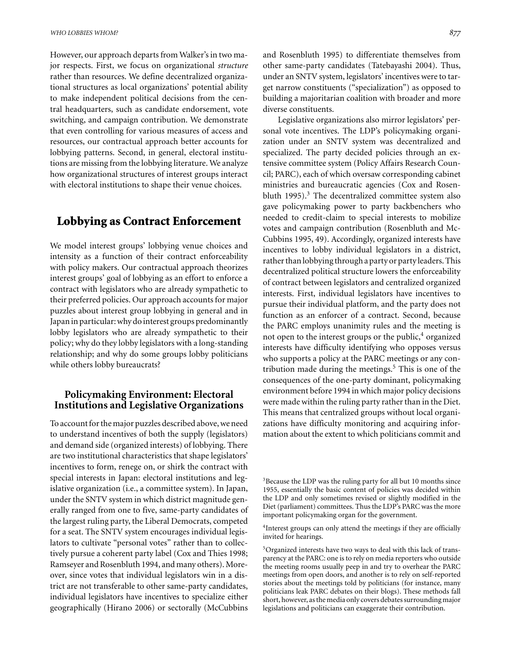However, our approach departs from Walker's in two major respects. First, we focus on organizational *structure* rather than resources. We define decentralized organizational structures as local organizations' potential ability to make independent political decisions from the central headquarters, such as candidate endorsement, vote switching, and campaign contribution. We demonstrate that even controlling for various measures of access and resources, our contractual approach better accounts for lobbying patterns. Second, in general, electoral institutions are missing from the lobbying literature. We analyze how organizational structures of interest groups interact with electoral institutions to shape their venue choices.

## **Lobbying as Contract Enforcement**

We model interest groups' lobbying venue choices and intensity as a function of their contract enforceability with policy makers. Our contractual approach theorizes interest groups' goal of lobbying as an effort to enforce a contract with legislators who are already sympathetic to their preferred policies. Our approach accounts for major puzzles about interest group lobbying in general and in Japan in particular: why do interest groups predominantly lobby legislators who are already sympathetic to their policy; why do they lobby legislators with a long-standing relationship; and why do some groups lobby politicians while others lobby bureaucrats?

## **Policymaking Environment: Electoral Institutions and Legislative Organizations**

To account for the major puzzles described above, we need to understand incentives of both the supply (legislators) and demand side (organized interests) of lobbying. There are two institutional characteristics that shape legislators' incentives to form, renege on, or shirk the contract with special interests in Japan: electoral institutions and legislative organization (i.e., a committee system). In Japan, under the SNTV system in which district magnitude generally ranged from one to five, same-party candidates of the largest ruling party, the Liberal Democrats, competed for a seat. The SNTV system encourages individual legislators to cultivate "personal votes" rather than to collectively pursue a coherent party label (Cox and Thies 1998; Ramseyer and Rosenbluth 1994, and many others). Moreover, since votes that individual legislators win in a district are not transferable to other same-party candidates, individual legislators have incentives to specialize either geographically (Hirano 2006) or sectorally (McCubbins

and Rosenbluth 1995) to differentiate themselves from other same-party candidates (Tatebayashi 2004). Thus, under an SNTV system, legislators' incentives were to target narrow constituents ("specialization") as opposed to building a majoritarian coalition with broader and more diverse constituents.

Legislative organizations also mirror legislators' personal vote incentives. The LDP's policymaking organization under an SNTV system was decentralized and specialized. The party decided policies through an extensive committee system (Policy Affairs Research Council; PARC), each of which oversaw corresponding cabinet ministries and bureaucratic agencies (Cox and Rosenbluth 1995). $3$  The decentralized committee system also gave policymaking power to party backbenchers who needed to credit-claim to special interests to mobilize votes and campaign contribution (Rosenbluth and Mc-Cubbins 1995, 49). Accordingly, organized interests have incentives to lobby individual legislators in a district, rather than lobbying through a party or party leaders. This decentralized political structure lowers the enforceability of contract between legislators and centralized organized interests. First, individual legislators have incentives to pursue their individual platform, and the party does not function as an enforcer of a contract. Second, because the PARC employs unanimity rules and the meeting is not open to the interest groups or the public, $4$  organized interests have difficulty identifying who opposes versus who supports a policy at the PARC meetings or any contribution made during the meetings.<sup>5</sup> This is one of the consequences of the one-party dominant, policymaking environment before 1994 in which major policy decisions were made within the ruling party rather than in the Diet. This means that centralized groups without local organizations have difficulty monitoring and acquiring information about the extent to which politicians commit and

<sup>4</sup>Interest groups can only attend the meetings if they are officially invited for hearings.

<sup>5</sup>Organized interests have two ways to deal with this lack of transparency at the PARC: one is to rely on media reporters who outside the meeting rooms usually peep in and try to overhear the PARC meetings from open doors, and another is to rely on self-reported stories about the meetings told by politicians (for instance, many politicians leak PARC debates on their blogs). These methods fall short, however, as the media only covers debates surrounding major legislations and politicians can exaggerate their contribution.

 $3B$  Because the LDP was the ruling party for all but 10 months since 1955, essentially the basic content of policies was decided within the LDP and only sometimes revised or slightly modified in the Diet (parliament) committees. Thus the LDP's PARC was the more important policymaking organ for the government.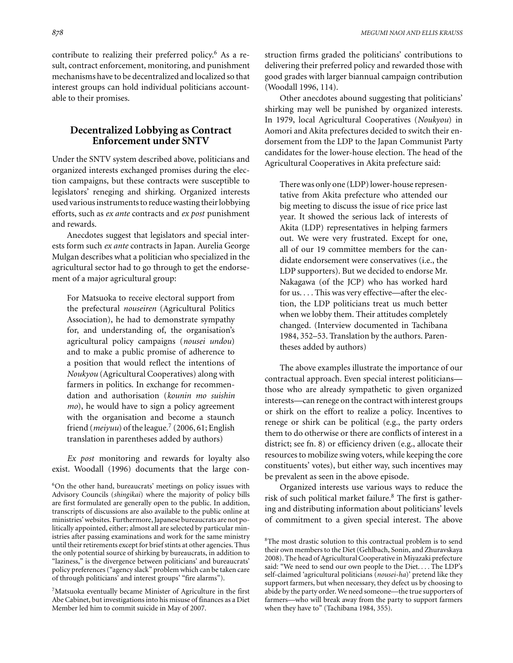contribute to realizing their preferred policy.<sup>6</sup> As a result, contract enforcement, monitoring, and punishment mechanisms have to be decentralized and localized so that interest groups can hold individual politicians accountable to their promises.

## **Decentralized Lobbying as Contract Enforcement under SNTV**

Under the SNTV system described above, politicians and organized interests exchanged promises during the election campaigns, but these contracts were susceptible to legislators' reneging and shirking. Organized interests used various instruments to reduce wasting their lobbying efforts, such as *ex ante* contracts and *ex post* punishment and rewards.

Anecdotes suggest that legislators and special interests form such *ex ante* contracts in Japan. Aurelia George Mulgan describes what a politician who specialized in the agricultural sector had to go through to get the endorsement of a major agricultural group:

For Matsuoka to receive electoral support from the prefectural *nouseiren* (Agricultural Politics Association), he had to demonstrate sympathy for, and understanding of, the organisation's agricultural policy campaigns (*nousei undou*) and to make a public promise of adherence to a position that would reflect the intentions of *Noukyou* (Agricultural Cooperatives) along with farmers in politics. In exchange for recommendation and authorisation (*kounin mo suishin mo*), he would have to sign a policy agreement with the organisation and become a staunch friend (*meiyuu*) of the league.7 (2006, 61; English translation in parentheses added by authors)

*Ex post* monitoring and rewards for loyalty also exist. Woodall (1996) documents that the large con-

7Matsuoka eventually became Minister of Agriculture in the first Abe Cabinet, but investigations into his misuse of finances as a Diet Member led him to commit suicide in May of 2007.

struction firms graded the politicians' contributions to delivering their preferred policy and rewarded those with good grades with larger biannual campaign contribution (Woodall 1996, 114).

Other anecdotes abound suggesting that politicians' shirking may well be punished by organized interests. In 1979, local Agricultural Cooperatives (*Noukyou*) in Aomori and Akita prefectures decided to switch their endorsement from the LDP to the Japan Communist Party candidates for the lower-house election. The head of the Agricultural Cooperatives in Akita prefecture said:

There was only one (LDP) lower-house representative from Akita prefecture who attended our big meeting to discuss the issue of rice price last year. It showed the serious lack of interests of Akita (LDP) representatives in helping farmers out. We were very frustrated. Except for one, all of our 19 committee members for the candidate endorsement were conservatives (i.e., the LDP supporters). But we decided to endorse Mr. Nakagawa (of the JCP) who has worked hard for us. ... This was very effective—after the election, the LDP politicians treat us much better when we lobby them. Their attitudes completely changed. (Interview documented in Tachibana 1984, 352–53. Translation by the authors. Parentheses added by authors)

The above examples illustrate the importance of our contractual approach. Even special interest politicians those who are already sympathetic to given organized interests—can renege on the contract with interest groups or shirk on the effort to realize a policy. Incentives to renege or shirk can be political (e.g., the party orders them to do otherwise or there are conflicts of interest in a district; see fn. 8) or efficiency driven (e.g., allocate their resources to mobilize swing voters, while keeping the core constituents' votes), but either way, such incentives may be prevalent as seen in the above episode.

Organized interests use various ways to reduce the risk of such political market failure. $8$  The first is gathering and distributing information about politicians' levels of commitment to a given special interest. The above

<sup>&</sup>lt;sup>6</sup>On the other hand, bureaucrats' meetings on policy issues with Advisory Councils (*shingikai*) where the majority of policy bills are first formulated are generally open to the public. In addition, transcripts of discussions are also available to the public online at ministries' websites. Furthermore, Japanese bureaucrats are not politically appointed, either; almost all are selected by particular ministries after passing examinations and work for the same ministry until their retirements except for brief stints at other agencies. Thus the only potential source of shirking by bureaucrats, in addition to "laziness," is the divergence between politicians' and bureaucrats' policy preferences ("agency slack" problem which can be taken care of through politicians' and interest groups' "fire alarms").

<sup>8</sup>The most drastic solution to this contractual problem is to send their own members to the Diet (Gehlbach, Sonin, and Zhuravskaya 2008). The head of Agricultural Cooperative in Miyazaki prefecture said: "We need to send our own people to the Diet. ... The LDP's self-claimed 'agricultural politicians (*nousei-ha*)' pretend like they support farmers, but when necessary, they defect us by choosing to abide by the party order. We need someone—the true supporters of farmers—who will break away from the party to support farmers when they have to" (Tachibana 1984, 355).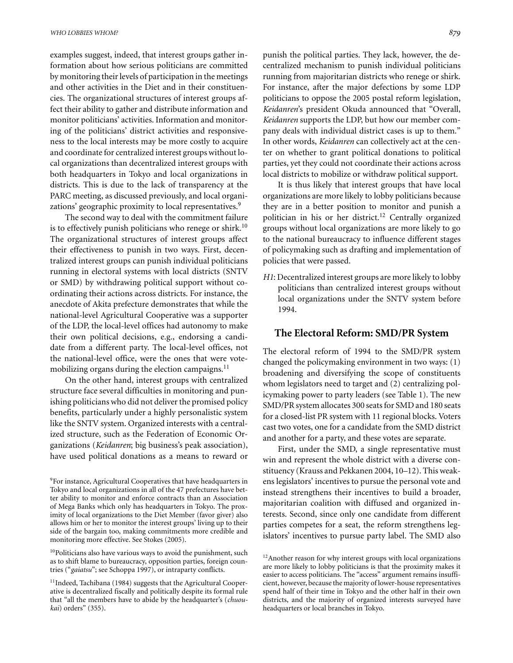examples suggest, indeed, that interest groups gather information about how serious politicians are committed by monitoring their levels of participation in the meetings and other activities in the Diet and in their constituencies. The organizational structures of interest groups affect their ability to gather and distribute information and monitor politicians' activities. Information and monitoring of the politicians' district activities and responsiveness to the local interests may be more costly to acquire and coordinate for centralized interest groups without local organizations than decentralized interest groups with both headquarters in Tokyo and local organizations in districts. This is due to the lack of transparency at the PARC meeting, as discussed previously, and local organizations' geographic proximity to local representatives.<sup>9</sup>

The second way to deal with the commitment failure is to effectively punish politicians who renege or shirk.<sup>10</sup> The organizational structures of interest groups affect their effectiveness to punish in two ways. First, decentralized interest groups can punish individual politicians running in electoral systems with local districts (SNTV or SMD) by withdrawing political support without coordinating their actions across districts. For instance, the anecdote of Akita prefecture demonstrates that while the national-level Agricultural Cooperative was a supporter of the LDP, the local-level offices had autonomy to make their own political decisions, e.g., endorsing a candidate from a different party. The local-level offices, not the national-level office, were the ones that were votemobilizing organs during the election campaigns.<sup>11</sup>

On the other hand, interest groups with centralized structure face several difficulties in monitoring and punishing politicians who did not deliver the promised policy benefits, particularly under a highly personalistic system like the SNTV system. Organized interests with a centralized structure, such as the Federation of Economic Organizations (*Keidanren*; big business's peak association), have used political donations as a means to reward or

punish the political parties. They lack, however, the decentralized mechanism to punish individual politicians running from majoritarian districts who renege or shirk. For instance, after the major defections by some LDP politicians to oppose the 2005 postal reform legislation, *Keidanren*'s president Okuda announced that "Overall, *Keidanren* supports the LDP, but how our member company deals with individual district cases is up to them." In other words, *Keidanren* can collectively act at the center on whether to grant political donations to political parties, yet they could not coordinate their actions across local districts to mobilize or withdraw political support.

It is thus likely that interest groups that have local organizations are more likely to lobby politicians because they are in a better position to monitor and punish a politician in his or her district.<sup>12</sup> Centrally organized groups without local organizations are more likely to go to the national bureaucracy to influence different stages of policymaking such as drafting and implementation of policies that were passed.

*H1*: Decentralized interest groups are more likely to lobby politicians than centralized interest groups without local organizations under the SNTV system before 1994.

#### **The Electoral Reform: SMD/PR System**

The electoral reform of 1994 to the SMD/PR system changed the policymaking environment in two ways: (1) broadening and diversifying the scope of constituents whom legislators need to target and (2) centralizing policymaking power to party leaders (see Table 1). The new SMD/PR system allocates 300 seats for SMD and 180 seats for a closed-list PR system with 11 regional blocks. Voters cast two votes, one for a candidate from the SMD district and another for a party, and these votes are separate.

First, under the SMD, a single representative must win and represent the whole district with a diverse constituency (Krauss and Pekkanen 2004, 10–12). This weakens legislators' incentives to pursue the personal vote and instead strengthens their incentives to build a broader, majoritarian coalition with diffused and organized interests. Second, since only one candidate from different parties competes for a seat, the reform strengthens legislators' incentives to pursue party label. The SMD also

<sup>9</sup>For instance, Agricultural Cooperatives that have headquarters in Tokyo and local organizations in all of the 47 prefectures have better ability to monitor and enforce contracts than an Association of Mega Banks which only has headquarters in Tokyo. The proximity of local organizations to the Diet Member (favor giver) also allows him or her to monitor the interest groups' living up to their side of the bargain too, making commitments more credible and monitoring more effective. See Stokes (2005).

<sup>&</sup>lt;sup>10</sup>Politicians also have various ways to avoid the punishment, such as to shift blame to bureaucracy, opposition parties, foreign countries ("*gaiatsu*"; see Schoppa 1997), or intraparty conflicts.

<sup>&</sup>lt;sup>11</sup>Indeed, Tachibana (1984) suggests that the Agricultural Cooperative is decentralized fiscally and politically despite its formal rule that "all the members have to abide by the headquarter's (*chuoukai*) orders" (355).

<sup>&</sup>lt;sup>12</sup> Another reason for why interest groups with local organizations are more likely to lobby politicians is that the proximity makes it easier to access politicians. The "access" argument remains insufficient, however, because the majority of lower-house representatives spend half of their time in Tokyo and the other half in their own districts, and the majority of organized interests surveyed have headquarters or local branches in Tokyo.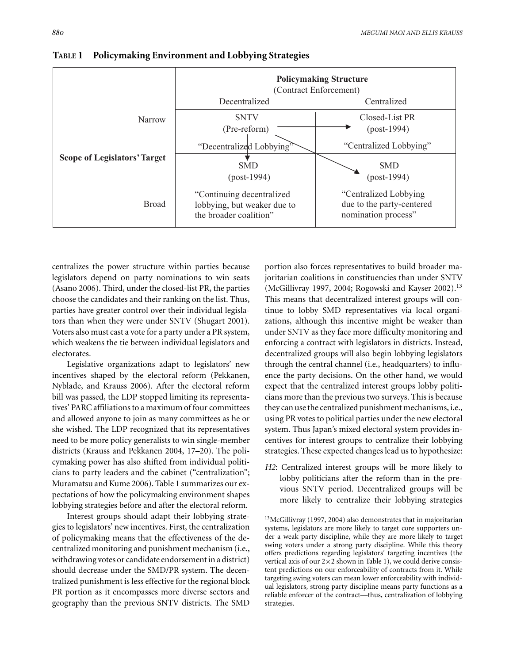

**TABLE 1 Policymaking Environment and Lobbying Strategies**

centralizes the power structure within parties because legislators depend on party nominations to win seats (Asano 2006). Third, under the closed-list PR, the parties choose the candidates and their ranking on the list. Thus, parties have greater control over their individual legislators than when they were under SNTV (Shugart 2001). Voters also must cast a vote for a party under a PR system, which weakens the tie between individual legislators and electorates.

Legislative organizations adapt to legislators' new incentives shaped by the electoral reform (Pekkanen, Nyblade, and Krauss 2006). After the electoral reform bill was passed, the LDP stopped limiting its representatives' PARC affiliations to a maximum of four committees and allowed anyone to join as many committees as he or she wished. The LDP recognized that its representatives need to be more policy generalists to win single-member districts (Krauss and Pekkanen 2004, 17–20). The policymaking power has also shifted from individual politicians to party leaders and the cabinet ("centralization"; Muramatsu and Kume 2006). Table 1 summarizes our expectations of how the policymaking environment shapes lobbying strategies before and after the electoral reform.

Interest groups should adapt their lobbying strategies to legislators' new incentives. First, the centralization of policymaking means that the effectiveness of the decentralized monitoring and punishment mechanism (i.e., withdrawing votes or candidate endorsement in a district) should decrease under the SMD/PR system. The decentralized punishment is less effective for the regional block PR portion as it encompasses more diverse sectors and geography than the previous SNTV districts. The SMD portion also forces representatives to build broader majoritarian coalitions in constituencies than under SNTV (McGillivray 1997, 2004; Rogowski and Kayser 2002).<sup>13</sup> This means that decentralized interest groups will continue to lobby SMD representatives via local organizations, although this incentive might be weaker than under SNTV as they face more difficulty monitoring and enforcing a contract with legislators in districts. Instead, decentralized groups will also begin lobbying legislators through the central channel (i.e., headquarters) to influence the party decisions. On the other hand, we would expect that the centralized interest groups lobby politicians more than the previous two surveys. This is because they can use the centralized punishment mechanisms, i.e., using PR votes to political parties under the new electoral system. Thus Japan's mixed electoral system provides incentives for interest groups to centralize their lobbying strategies. These expected changes lead us to hypothesize:

*H2*: Centralized interest groups will be more likely to lobby politicians after the reform than in the previous SNTV period. Decentralized groups will be more likely to centralize their lobbying strategies

13McGillivray (1997, 2004) also demonstrates that in majoritarian systems, legislators are more likely to target core supporters under a weak party discipline, while they are more likely to target swing voters under a strong party discipline. While this theory offers predictions regarding legislators' targeting incentives (the vertical axis of our  $2\times 2$  shown in Table 1), we could derive consistent predictions on our enforceability of contracts from it. While targeting swing voters can mean lower enforceability with individual legislators, strong party discipline means party functions as a reliable enforcer of the contract—thus, centralization of lobbying strategies.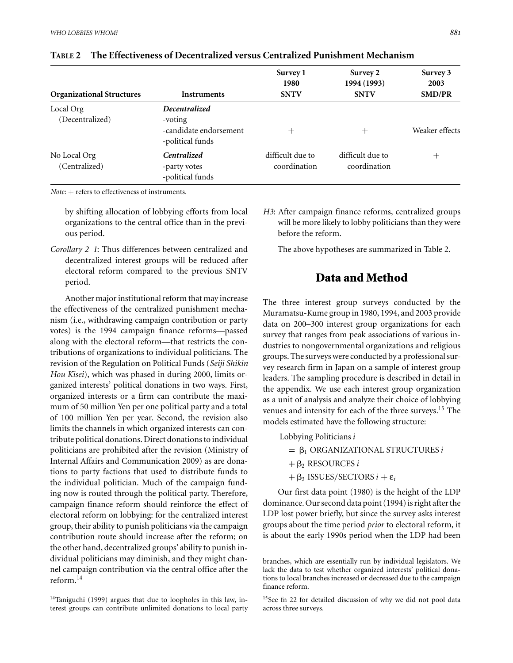| <b>Organizational Structures</b> | <b>Instruments</b>                                                         | Survey 1<br>1980<br><b>SNTV</b>  | Survey 2<br>1994 (1993)<br><b>SNTV</b> | Survey 3<br>2003<br><b>SMD/PR</b> |
|----------------------------------|----------------------------------------------------------------------------|----------------------------------|----------------------------------------|-----------------------------------|
| Local Org<br>(Decentralized)     | <b>Decentralized</b><br>-voting<br>-candidate endorsement                  | $^+$                             | $^{+}$                                 | Weaker effects                    |
| No Local Org<br>(Centralized)    | -political funds<br><b>Centralized</b><br>-party votes<br>-political funds | difficult due to<br>coordination | difficult due to<br>coordination       | $^{+}$                            |

*Note*: + refers to effectiveness of instruments.

by shifting allocation of lobbying efforts from local organizations to the central office than in the previous period.

*Corollary 2–1*: Thus differences between centralized and decentralized interest groups will be reduced after electoral reform compared to the previous SNTV period.

Another major institutional reform that may increase the effectiveness of the centralized punishment mechanism (i.e., withdrawing campaign contribution or party votes) is the 1994 campaign finance reforms—passed along with the electoral reform—that restricts the contributions of organizations to individual politicians. The revision of the Regulation on Political Funds (*Seiji Shikin Hou Kisei*), which was phased in during 2000, limits organized interests' political donations in two ways. First, organized interests or a firm can contribute the maximum of 50 million Yen per one political party and a total of 100 million Yen per year. Second, the revision also limits the channels in which organized interests can contribute political donations. Direct donations to individual politicians are prohibited after the revision (Ministry of Internal Affairs and Communication 2009) as are donations to party factions that used to distribute funds to the individual politician. Much of the campaign funding now is routed through the political party. Therefore, campaign finance reform should reinforce the effect of electoral reform on lobbying: for the centralized interest group, their ability to punish politicians via the campaign contribution route should increase after the reform; on the other hand, decentralized groups' ability to punish individual politicians may diminish, and they might channel campaign contribution via the central office after the reform.14

*H3*: After campaign finance reforms, centralized groups will be more likely to lobby politicians than they were before the reform.

The above hypotheses are summarized in Table 2.

## **Data and Method**

The three interest group surveys conducted by the Muramatsu-Kume group in 1980, 1994, and 2003 provide data on 200–300 interest group organizations for each survey that ranges from peak associations of various industries to nongovernmental organizations and religious groups. The surveys were conducted by a professional survey research firm in Japan on a sample of interest group leaders. The sampling procedure is described in detail in the appendix. We use each interest group organization as a unit of analysis and analyze their choice of lobbying venues and intensity for each of the three surveys.<sup>15</sup> The models estimated have the following structure:

Lobbying Politicians*i*

- $= \beta_1$  ORGANIZATIONAL STRUCTURES *i*
- $+ \beta_2$  RESOURCES *i*
- $+ \beta_3$  ISSUES/SECTORS  $i + \varepsilon_i$

Our first data point (1980) is the height of the LDP dominance. Our second data point (1994) is right after the LDP lost power briefly, but since the survey asks interest groups about the time period *prior* to electoral reform, it is about the early 1990s period when the LDP had been

<sup>&</sup>lt;sup>14</sup>Taniguchi (1999) argues that due to loopholes in this law, interest groups can contribute unlimited donations to local party

branches, which are essentially run by individual legislators. We lack the data to test whether organized interests' political donations to local branches increased or decreased due to the campaign finance reform.

<sup>&</sup>lt;sup>15</sup>See fn 22 for detailed discussion of why we did not pool data across three surveys.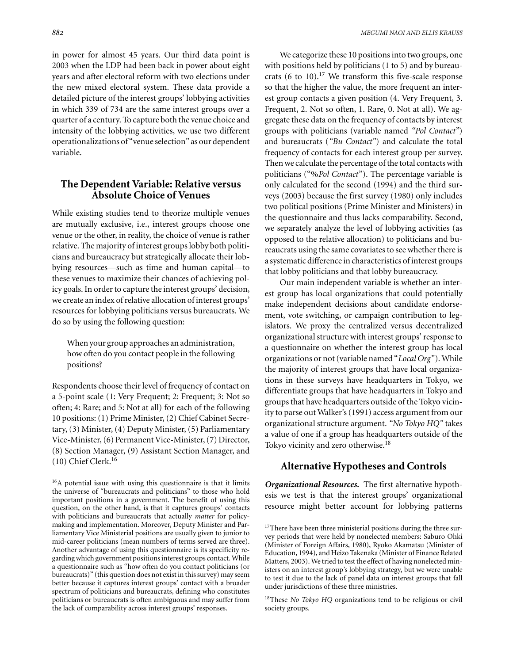in power for almost 45 years. Our third data point is 2003 when the LDP had been back in power about eight years and after electoral reform with two elections under the new mixed electoral system. These data provide a detailed picture of the interest groups' lobbying activities in which 339 of 734 are the same interest groups over a quarter of a century. To capture both the venue choice and intensity of the lobbying activities, we use two different operationalizations of "venue selection" as our dependent variable.

## **The Dependent Variable: Relative versus Absolute Choice of Venues**

While existing studies tend to theorize multiple venues are mutually exclusive, i.e., interest groups choose one venue or the other, in reality, the choice of venue is rather relative. The majority of interest groups lobby both politicians and bureaucracy but strategically allocate their lobbying resources—such as time and human capital—to these venues to maximize their chances of achieving policy goals. In order to capture the interest groups' decision, we create an index of relative allocation of interest groups' resources for lobbying politicians versus bureaucrats. We do so by using the following question:

When your group approaches an administration, how often do you contact people in the following positions?

Respondents choose their level of frequency of contact on a 5-point scale (1: Very Frequent; 2: Frequent; 3: Not so often; 4: Rare; and 5: Not at all) for each of the following 10 positions: (1) Prime Minister, (2) Chief Cabinet Secretary, (3) Minister, (4) Deputy Minister, (5) Parliamentary Vice-Minister, (6) Permanent Vice-Minister, (7) Director, (8) Section Manager, (9) Assistant Section Manager, and  $(10)$  Chief Clerk.<sup>16</sup>

We categorize these 10 positions into two groups, one with positions held by politicians (1 to 5) and by bureaucrats (6 to 10).<sup>17</sup> We transform this five-scale response so that the higher the value, the more frequent an interest group contacts a given position (4. Very Frequent, 3. Frequent, 2. Not so often, 1. Rare, 0. Not at all). We aggregate these data on the frequency of contacts by interest groups with politicians (variable named *"Pol Contact"*) and bureaucrats (*"Bu Contact"*) and calculate the total frequency of contacts for each interest group per survey. Then we calculate the percentage of the total contacts with politicians ("%*Pol Contact*"). The percentage variable is only calculated for the second (1994) and the third surveys (2003) because the first survey (1980) only includes two political positions (Prime Minister and Ministers) in the questionnaire and thus lacks comparability. Second, we separately analyze the level of lobbying activities (as opposed to the relative allocation) to politicians and bureaucrats using the same covariates to see whether there is a systematic difference in characteristics of interest groups that lobby politicians and that lobby bureaucracy.

Our main independent variable is whether an interest group has local organizations that could potentially make independent decisions about candidate endorsement, vote switching, or campaign contribution to legislators. We proxy the centralized versus decentralized organizational structure with interest groups' response to a questionnaire on whether the interest group has local organizations or not (variable named "*Local Org*"). While the majority of interest groups that have local organizations in these surveys have headquarters in Tokyo, we differentiate groups that have headquarters in Tokyo and groups that have headquarters outside of the Tokyo vicinity to parse out Walker's (1991) access argument from our organizational structure argument. *"No Tokyo HQ"* takes a value of one if a group has headquarters outside of the Tokyo vicinity and zero otherwise.<sup>18</sup>

## **Alternative Hypotheses and Controls**

*Organizational Resources***.** The first alternative hypothesis we test is that the interest groups' organizational resource might better account for lobbying patterns

18These *No Tokyo HQ* organizations tend to be religious or civil society groups.

<sup>&</sup>lt;sup>16</sup>A potential issue with using this questionnaire is that it limits the universe of "bureaucrats and politicians" to those who hold important positions in a government. The benefit of using this question, on the other hand, is that it captures groups' contacts with politicians and bureaucrats that actually *matter* for policymaking and implementation. Moreover, Deputy Minister and Parliamentary Vice Ministerial positions are usually given to junior to mid-career politicians (mean numbers of terms served are three). Another advantage of using this questionnaire is its specificity regarding which government positions interest groups contact. While a questionnaire such as "how often do you contact politicians (or bureaucrats)" (this question does not exist in this survey) may seem better because it captures interest groups' contact with a broader spectrum of politicians and bureaucrats, defining who constitutes politicians or bureaucrats is often ambiguous and may suffer from the lack of comparability across interest groups' responses.

 $17$ There have been three ministerial positions during the three survey periods that were held by nonelected members: Saburo Ohki (Minister of Foreign Affairs, 1980), Ryoko Akamatsu (Minister of Education, 1994), and Heizo Takenaka (Minister of Finance Related Matters, 2003). We tried to test the effect of having nonelected ministers on an interest group's lobbying strategy, but we were unable to test it due to the lack of panel data on interest groups that fall under jurisdictions of these three ministries.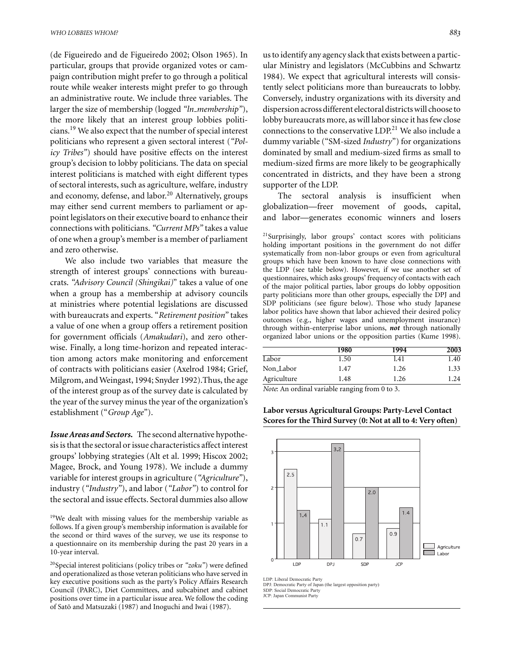(de Figueiredo and de Figueiredo 2002; Olson 1965). In particular, groups that provide organized votes or campaign contribution might prefer to go through a political route while weaker interests might prefer to go through an administrative route. We include three variables. The larger the size of membership (logged *"ln membership"*), the more likely that an interest group lobbies politicians.<sup>19</sup> We also expect that the number of special interest politicians who represent a given sectoral interest (*"Policy Tribes"*) should have positive effects on the interest group's decision to lobby politicians. The data on special interest politicians is matched with eight different types of sectoral interests, such as agriculture, welfare, industry and economy, defense, and labor.<sup>20</sup> Alternatively, groups may either send current members to parliament or appoint legislators on their executive board to enhance their connections with politicians. *"Current MPs"* takes a value of one when a group's member is a member of parliament and zero otherwise.

We also include two variables that measure the strength of interest groups' connections with bureaucrats. *"Advisory Council (Shingikai)*" takes a value of one when a group has a membership at advisory councils at ministries where potential legislations are discussed with bureaucrats and experts. "*Retirement position"* takes a value of one when a group offers a retirement position for government officials (*Amakudari*), and zero otherwise. Finally, a long time-horizon and repeated interaction among actors make monitoring and enforcement of contracts with politicians easier (Axelrod 1984; Grief, Milgrom, and Weingast, 1994; Snyder 1992).Thus, the age of the interest group as of the survey date is calculated by the year of the survey minus the year of the organization's establishment ("*Group Age*").

*Issue Areas and Sectors***.** The second alternative hypothesis is that the sectoral or issue characteristics affect interest groups' lobbying strategies (Alt et al. 1999; Hiscox 2002; Magee, Brock, and Young 1978). We include a dummy variable for interest groups in agriculture (*"Agriculture"*), industry (*"Industry"*), and labor (*"Labor"*) to control for the sectoral and issue effects. Sectoral dummies also allow

19We dealt with missing values for the membership variable as follows. If a given group's membership information is available for the second or third waves of the survey, we use its response to a questionnaire on its membership during the past 20 years in a 10-year interval.

20Special interest politicians (policy tribes or *"zoku"*) were defined and operationalized as those veteran politicians who have served in key executive positions such as the party's Policy Affairs Research Council (PARC), Diet Committees, and subcabinet and cabinet positions over time in a particular issue area. We follow the coding of Satō and Matsuzaki (1987) and Inoguchi and Iwai (1987).

us to identify any agency slack that exists between a particular Ministry and legislators (McCubbins and Schwartz 1984). We expect that agricultural interests will consistently select politicians more than bureaucrats to lobby. Conversely, industry organizations with its diversity and dispersion across different electoral districts will choose to lobby bureaucrats more, as will labor since it has few close connections to the conservative  $LDP<sub>1</sub><sup>21</sup>$  We also include a dummy variable ("SM-sized *Industry*") for organizations dominated by small and medium-sized firms as small to medium-sized firms are more likely to be geographically concentrated in districts, and they have been a strong supporter of the LDP.

The sectoral analysis is insufficient when globalization—freer movement of goods, capital, and labor—generates economic winners and losers

21Surprisingly, labor groups' contact scores with politicians holding important positions in the government do not differ systematically from non-labor groups or even from agricultural groups which have been known to have close connections with the LDP (see table below). However, if we use another set of questionnaires, which asks groups' frequency of contacts with each of the major political parties, labor groups do lobby opposition party politicians more than other groups, especially the DPJ and SDP politicians (see figure below). Those who study Japanese labor politics have shown that labor achieved their desired policy outcomes (e.g., higher wages and unemployment insurance) through within-enterprise labor unions, *not* through nationally organized labor unions or the opposition parties (Kume 1998).

|             | 1980 | 1994 | 2003 |
|-------------|------|------|------|
| Labor       | 1.50 | 1.41 | 1.40 |
| Non_Labor   | 1.47 | 1.26 | 1.33 |
| Agriculture | 1.48 | 1.26 | 1.24 |

*Note*: An ordinal variable ranging from 0 to 3.

**Labor versus Agricultural Groups: Party-Level Contact Scores for the Third Survey (0: Not at all to 4: Very often)**



LDP: Liberal Democratic Party DPJ: Democratic Party of Japan (the largest opposition party) SDP: Social Democratic Party JCP: Japan Communist Party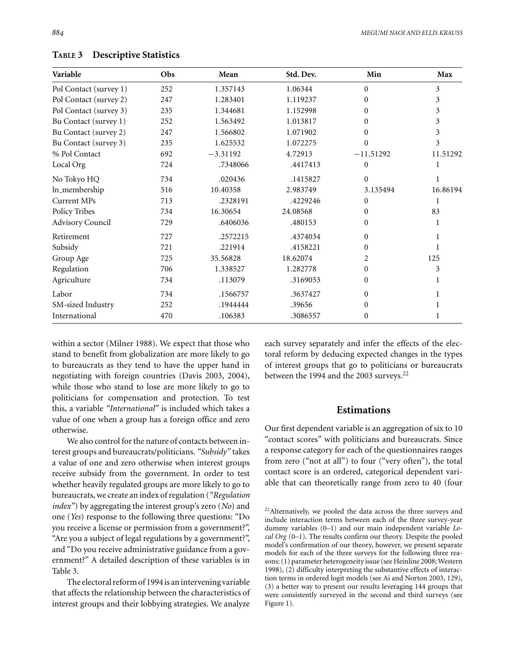| Variable               | Obs | Mean       | Std. Dev. | Min              | Max      |
|------------------------|-----|------------|-----------|------------------|----------|
| Pol Contact (survey 1) | 252 | 1.357143   | 1.06344   | $\theta$         | 3        |
| Pol Contact (survey 2) | 247 | 1.283401   | 1.119237  | $\Omega$         | 3        |
| Pol Contact (survey 3) | 235 | 1.344681   | 1.152998  | $\Omega$         | 3        |
| Bu Contact (survey 1)  | 252 | 1.563492   | 1.013817  | $\Omega$         | 3        |
| Bu Contact (survey 2)  | 247 | 1.566802   | 1.071902  | $\Omega$         | 3        |
| Bu Contact (survey 3)  | 235 | 1.625532   | 1.072275  | $\Omega$         | 3        |
| % Pol Contact          | 692 | $-3.31192$ | 4.72913   | $-11.51292$      | 11.51292 |
| Local Org              | 724 | .7348066   | .4417413  | $\boldsymbol{0}$ | 1        |
| No Tokyo HQ            | 734 | .020436    | .1415827  | $\Omega$         | 1        |
| ln_membership          | 516 | 10.40358   | 2.983749  | 3.135494         | 16.86194 |
| Current MPs            | 713 | .2328191   | .4229246  | $\theta$         | 1        |
| Policy Tribes          | 734 | 16.30654   | 24.08568  | $\theta$         | 83       |
| Advisory Council       | 729 | .6406036   | .480153   | $\Omega$         | 1        |
| Retirement             | 727 | .2572215   | .4374034  | $\theta$         |          |
| Subsidy                | 721 | .221914    | .4158221  | $\Omega$         |          |
| Group Age              | 725 | 35.56828   | 18.62074  | 2                | 125      |
| Regulation             | 706 | 1.338527   | 1.282778  | $\Omega$         | 3        |
| Agriculture            | 734 | .113079    | .3169053  | $\Omega$         |          |
| Labor                  | 734 | .1566757   | .3637427  | $\theta$         |          |
| SM-sized Industry      | 252 | .1944444   | .39656    | $\Omega$         |          |
| International          | 470 | .106383    | .3086557  | $\overline{0}$   |          |

**TABLE 3 Descriptive Statistics**

within a sector (Milner 1988). We expect that those who stand to benefit from globalization are more likely to go to bureaucrats as they tend to have the upper hand in negotiating with foreign countries (Davis 2003, 2004), while those who stand to lose are more likely to go to politicians for compensation and protection. To test this, a variable *"International"* is included which takes a value of one when a group has a foreign office and zero otherwise.

We also control for the nature of contacts between interest groups and bureaucrats/politicians. *"Subsidy"* takes a value of one and zero otherwise when interest groups receive subsidy from the government. In order to test whether heavily regulated groups are more likely to go to bureaucrats, we create an index of regulation (*"Regulation index"*) by aggregating the interest group's zero (*No*) and one (*Yes*) response to the following three questions: "Do you receive a license or permission from a government?", "Are you a subject of legal regulations by a government?", and "Do you receive administrative guidance from a government?" A detailed description of these variables is in Table 3.

The electoral reform of 1994 is an intervening variable that affects the relationship between the characteristics of interest groups and their lobbying strategies. We analyze

each survey separately and infer the effects of the electoral reform by deducing expected changes in the types of interest groups that go to politicians or bureaucrats between the 1994 and the 2003 surveys.<sup>22</sup>

#### **Estimations**

Our first dependent variable is an aggregation of six to 10 "contact scores" with politicians and bureaucrats. Since a response category for each of the questionnaires ranges from zero ("not at all") to four ("very often"), the total contact score is an ordered, categorical dependent variable that can theoretically range from zero to 40 (four

<sup>&</sup>lt;sup>22</sup> Alternatively, we pooled the data across the three surveys and include interaction terms between each of the three survey-year dummy variables (0–1) and our main independent variable *Local Org* (0–1). The results confirm our theory. Despite the pooled model's confirmation of our theory, however, we present separate models for each of the three surveys for the following three reasons: (1) parameter heterogeneity issue (see Heinline 2008; Western 1998), (2) difficulty interpreting the substantive effects of interaction terms in ordered logit models (see Ai and Norton 2003, 129), (3) a better way to present our results leveraging 144 groups that were consistently surveyed in the second and third surveys (see Figure 1).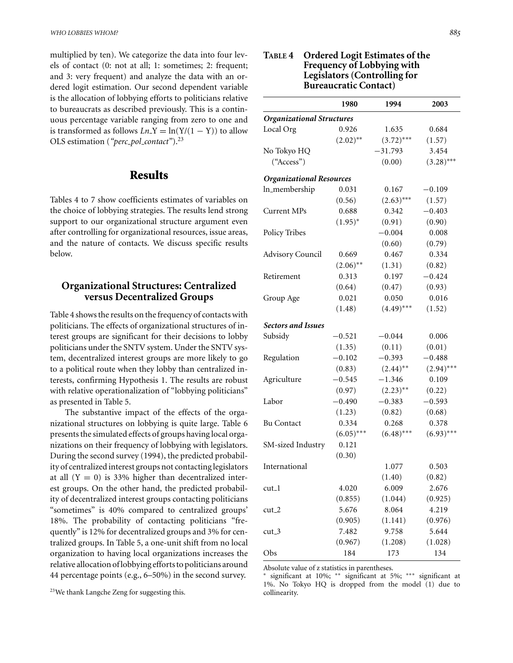multiplied by ten). We categorize the data into four levels of contact (0: not at all; 1: sometimes; 2: frequent; and 3: very frequent) and analyze the data with an ordered logit estimation. Our second dependent variable is the allocation of lobbying efforts to politicians relative to bureaucrats as described previously. This is a continuous percentage variable ranging from zero to one and is transformed as follows  $Ln_Y = ln(Y/(1 - Y))$  to allow OLS estimation (*"perc pol contact"*).23

## **Results**

Tables 4 to 7 show coefficients estimates of variables on the choice of lobbying strategies. The results lend strong support to our organizational structure argument even after controlling for organizational resources, issue areas, and the nature of contacts. We discuss specific results below.

## **Organizational Structures: Centralized versus Decentralized Groups**

Table 4 shows the results on the frequency of contacts with politicians. The effects of organizational structures of interest groups are significant for their decisions to lobby politicians under the SNTV system. Under the SNTV system, decentralized interest groups are more likely to go to a political route when they lobby than centralized interests, confirming Hypothesis 1. The results are robust with relative operationalization of "lobbying politicians" as presented in Table 5.

The substantive impact of the effects of the organizational structures on lobbying is quite large. Table 6 presents the simulated effects of groups having local organizations on their frequency of lobbying with legislators. During the second survey (1994), the predicted probability of centralized interest groups not contacting legislators at all  $(Y = 0)$  is 33% higher than decentralized interest groups. On the other hand, the predicted probability of decentralized interest groups contacting politicians "sometimes" is 40% compared to centralized groups' 18%. The probability of contacting politicians "frequently" is 12% for decentralized groups and 3% for centralized groups. In Table 5, a one-unit shift from no local organization to having local organizations increases the relative allocation of lobbying efforts to politicians around 44 percentage points (e.g., 6–50%) in the second survey.

<sup>23</sup>We thank Langche Zeng for suggesting this.

| TABLE 4 Ordered Logit Estimates of the |
|----------------------------------------|
| Frequency of Lobbying with             |
| <b>Legislators (Controlling for</b>    |
| <b>Bureaucratic Contact)</b>           |

|                                  | 1980         | 1994         | 2003         |
|----------------------------------|--------------|--------------|--------------|
| <b>Organizational Structures</b> |              |              |              |
| Local Org                        | 0.926        | 1.635        | 0.684        |
|                                  | $(2.02)$ **  | $(3.72)$ *** | (1.57)       |
| No Tokyo HQ                      |              | $-31.793$    | 3.454        |
| ("Access")                       |              | (0.00)       | $(3.28)$ *** |
| <b>Organizational Resources</b>  |              |              |              |
| ln_membership                    | 0.031        | 0.167        | $-0.109$     |
|                                  | (0.56)       | $(2.63)$ *** | (1.57)       |
| Current MPs                      | 0.688        | 0.342        | $-0.403$     |
|                                  | $(1.95)^*$   | (0.91)       | (0.90)       |
| Policy Tribes                    |              | $-0.004$     | 0.008        |
|                                  |              | (0.60)       | (0.79)       |
| <b>Advisory Council</b>          | 0.669        | 0.467        | 0.334        |
|                                  | $(2.06)$ **  | (1.31)       | (0.82)       |
| Retirement                       | 0.313        | 0.197        | $-0.424$     |
|                                  | (0.64)       | (0.47)       | (0.93)       |
| Group Age                        | 0.021        | 0.050        | 0.016        |
|                                  | (1.48)       | $(4.49)$ *** | (1.52)       |
| <b>Sectors and Issues</b>        |              |              |              |
| Subsidy                          | $-0.521$     | $-0.044$     | 0.006        |
|                                  | (1.35)       | (0.11)       | (0.01)       |
| Regulation                       | $-0.102$     | $-0.393$     | $-0.488$     |
|                                  | (0.83)       | $(2.44)$ **  | $(2.94)$ *** |
| Agriculture                      | $-0.545$     | $-1.346$     | 0.109        |
|                                  | (0.97)       | $(2.23)$ **  | (0.22)       |
| Labor                            | $-0.490$     | $-0.383$     | $-0.593$     |
|                                  | (1.23)       | (0.82)       | (0.68)       |
| <b>Bu Contact</b>                | 0.334        | 0.268        | 0.378        |
|                                  | $(6.05)$ *** | $(6.48)$ *** | $(6.93)$ *** |
| SM-sized Industry                | 0.121        |              |              |
|                                  | (0.30)       |              |              |
| International                    |              | 1.077        | 0.503        |
|                                  |              | (1.40)       | (0.82)       |
| $cut_1$                          | 4.020        | 6.009        | 2.676        |
|                                  | (0.855)      | (1.044)      | (0.925)      |
| $cut_2$                          | 5.676        | 8.064        | 4.219        |
|                                  | (0.905)      | (1.141)      | (0.976)      |
| $cut_3$                          | 7.482        | 9.758        | 5.644        |
|                                  | (0.967)      | (1.208)      | (1.028)      |
| Obs                              | 184          | 173          | 134          |

Absolute value of z statistics in parentheses.

<sup>∗</sup> significant at 10%; ∗∗ significant at 5%; ∗∗∗ significant at 1%. No Tokyo HQ is dropped from the model (1) due to collinearity.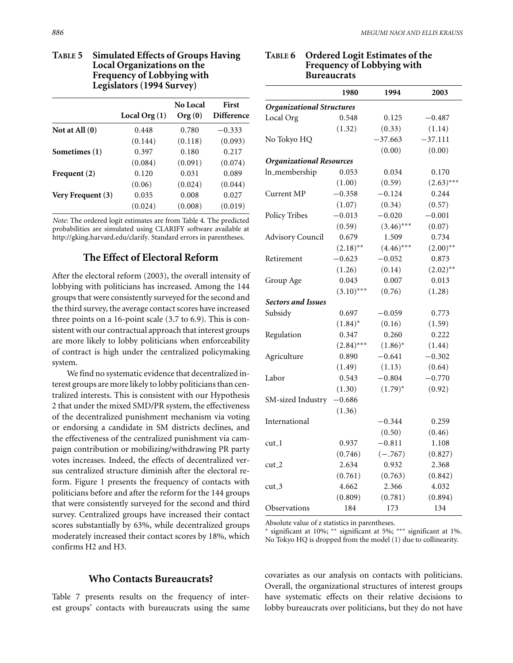|                   |                 | No Local | First      |
|-------------------|-----------------|----------|------------|
|                   | Local Org $(1)$ | Org(0)   | Difference |
| Not at All $(0)$  | 0.448           | 0.780    | $-0.333$   |
|                   | (0.144)         | (0.118)  | (0.093)    |
| Sometimes (1)     | 0.397           | 0.180    | 0.217      |
|                   | (0.084)         | (0.091)  | (0.074)    |
| Frequent $(2)$    | 0.120           | 0.031    | 0.089      |
|                   | (0.06)          | (0.024)  | (0.044)    |
| Very Frequent (3) | 0.035           | 0.008    | 0.027      |
|                   | (0.024)         | (0.008)  | (0.019)    |

### **TABLE 5 Simulated Effects of Groups Having Local Organizations on the Frequency of Lobbying with Legislators (1994 Survey)**

*Note*: The ordered logit estimates are from Table 4. The predicted probabilities are simulated using CLARIFY software available at http://gking.harvard.edu/clarify. Standard errors in parentheses.

### **The Effect of Electoral Reform**

After the electoral reform (2003), the overall intensity of lobbying with politicians has increased. Among the 144 groups that were consistently surveyed for the second and the third survey, the average contact scores have increased three points on a 16-point scale (3.7 to 6.9). This is consistent with our contractual approach that interest groups are more likely to lobby politicians when enforceability of contract is high under the centralized policymaking system.

We find no systematic evidence that decentralized interest groups are more likely to lobby politicians than centralized interests. This is consistent with our Hypothesis 2 that under the mixed SMD/PR system, the effectiveness of the decentralized punishment mechanism via voting or endorsing a candidate in SM districts declines, and the effectiveness of the centralized punishment via campaign contribution or mobilizing/withdrawing PR party votes increases. Indeed, the effects of decentralized versus centralized structure diminish after the electoral reform. Figure 1 presents the frequency of contacts with politicians before and after the reform for the 144 groups that were consistently surveyed for the second and third survey. Centralized groups have increased their contact scores substantially by 63%, while decentralized groups moderately increased their contact scores by 18%, which confirms H2 and H3.

#### **Who Contacts Bureaucrats?**

Table 7 presents results on the frequency of interest groups' contacts with bureaucrats using the same

## **TABLE 6 Ordered Logit Estimates of the Frequency of Lobbying with Bureaucrats**

|                                  | 1980         | 1994         | 2003         |
|----------------------------------|--------------|--------------|--------------|
| <b>Organizational Structures</b> |              |              |              |
| Local Org                        | 0.548        | 0.125        | $-0.487$     |
|                                  | (1.32)       | (0.33)       | (1.14)       |
| No Tokyo HQ                      |              | $-37.663$    | $-37.111$    |
|                                  |              | (0.00)       | (0.00)       |
| <b>Organizational Resources</b>  |              |              |              |
| ln_membership                    | 0.053        | 0.034        | 0.170        |
|                                  | (1.00)       | (0.59)       | $(2.63)$ *** |
| Current MP                       | $-0.358$     | $-0.124$     | 0.244        |
|                                  | (1.07)       | (0.34)       | (0.57)       |
| <b>Policy Tribes</b>             | $-0.013$     | $-0.020$     | $-0.001$     |
|                                  | (0.59)       | $(3.46)$ *** | (0.07)       |
| <b>Advisory Council</b>          | 0.679        | 1.509        | 0.734        |
|                                  | $(2.18)$ **  | $(4.46)$ *** | $(2.00)$ **  |
| Retirement                       | $-0.623$     | $-0.052$     | 0.873        |
|                                  | (1.26)       | (0.14)       | $(2.02)$ **  |
| Group Age                        | 0.043        | 0.007        | 0.013        |
|                                  | $(3.10)$ *** | (0.76)       | (1.28)       |
| <b>Sectors and Issues</b>        |              |              |              |
| Subsidy                          | 0.697        | $-0.059$     | 0.773        |
|                                  | $(1.84)^*$   | (0.16)       | (1.59)       |
| Regulation                       | 0.347        | 0.260        | 0.222        |
|                                  | $(2.84)$ *** | $(1.86)^*$   | (1.44)       |
| Agriculture                      | 0.890        | $-0.641$     | $-0.302$     |
|                                  | (1.49)       | (1.13)       | (0.64)       |
| Labor                            | 0.543        | $-0.804$     | $-0.770$     |
|                                  | (1.30)       | $(1.79)^*$   | (0.92)       |
| SM-sized Industry                | $-0.686$     |              |              |
|                                  | (1.36)       |              |              |
| International                    |              | $-0.344$     | 0.259        |
|                                  |              | (0.50)       | (0.46)       |
| cut_1                            | 0.937        | $-0.811$     | 1.108        |
|                                  | (0.746)      | $(-.767)$    | (0.827)      |
| $cut_2$                          | 2.634        | 0.932        | 2.368        |
|                                  | (0.761)      | (0.763)      | (0.842)      |
| $cut_3$                          | 4.662        | 2.366        | 4.032        |
|                                  | (0.809)      | (0.781)      | (0.894)      |
| Observations                     | 184          | 173          | 134          |

Absolute value of z statistics in parentheses.

<sup>∗</sup> significant at 10%; ∗∗ significant at 5%; ∗∗∗ significant at 1%. No Tokyo HQ is dropped from the model (1) due to collinearity.

covariates as our analysis on contacts with politicians. Overall, the organizational structures of interest groups have systematic effects on their relative decisions to lobby bureaucrats over politicians, but they do not have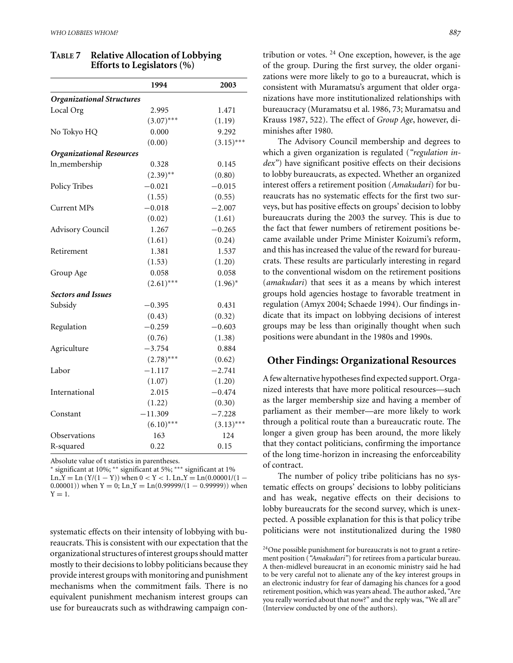|                                  | 1994         | 2003         |
|----------------------------------|--------------|--------------|
| <b>Organizational Structures</b> |              |              |
| Local Org                        | 2.995        | 1.471        |
|                                  | $(3.07)$ *** | (1.19)       |
| No Tokyo HQ                      | 0.000        | 9.292        |
|                                  | (0.00)       | $(3.15)$ *** |
| <b>Organizational Resources</b>  |              |              |
| ln_membership                    | 0.328        | 0.145        |
|                                  | $(2.39)$ **  | (0.80)       |
| <b>Policy Tribes</b>             | $-0.021$     | $-0.015$     |
|                                  | (1.55)       | (0.55)       |
| <b>Current MPs</b>               | $-0.018$     | $-2.007$     |
|                                  | (0.02)       | (1.61)       |
| <b>Advisory Council</b>          | 1.267        | $-0.265$     |
|                                  | (1.61)       | (0.24)       |
| Retirement                       | 1.381        | 1.537        |
|                                  | (1.53)       | (1.20)       |
| Group Age                        | 0.058        | 0.058        |
|                                  | $(2.61)$ *** | $(1.96)^*$   |
| <b>Sectors and Issues</b>        |              |              |
| Subsidy                          | $-0.395$     | 0.431        |
|                                  | (0.43)       | (0.32)       |
| Regulation                       | $-0.259$     | $-0.603$     |
|                                  | (0.76)       | (1.38)       |
| Agriculture                      | $-3.754$     | 0.884        |
|                                  | $(2.78)$ *** | (0.62)       |
| Labor                            | $-1.117$     | $-2.741$     |
|                                  | (1.07)       | (1.20)       |
| International                    | 2.015        | $-0.474$     |
|                                  | (1.22)       | (0.30)       |
| Constant                         | $-11.309$    | $-7.228$     |
|                                  | $(6.10)$ *** | $(3.13)$ *** |
| Observations                     | 163          | 124          |
| R-squared                        | 0.22         | 0.15         |

| TABLE 7 Relative Allocation of Lobbying |
|-----------------------------------------|
| <b>Efforts to Legislators (%)</b>       |

Absolute value of t statistics in parentheses.

<sup>∗</sup> significant at 10%; ∗∗ significant at 5%; ∗∗∗ significant at 1% Ln\_Y = Ln (Y/(1 – Y)) when  $0 < Y < 1$ . Ln\_Y = Ln(0.00001/(1 – 0.00001)) when  $Y = 0$ ; Ln\_Y = Ln(0.99999/(1 – 0.99999)) when  $Y = 1$ .

systematic effects on their intensity of lobbying with bureaucrats. This is consistent with our expectation that the organizational structures of interest groups should matter mostly to their decisions to lobby politicians because they provide interest groups with monitoring and punishment mechanisms when the commitment fails. There is no equivalent punishment mechanism interest groups can use for bureaucrats such as withdrawing campaign con-

tribution or votes.  $24$  One exception, however, is the age of the group. During the first survey, the older organizations were more likely to go to a bureaucrat, which is consistent with Muramatsu's argument that older organizations have more institutionalized relationships with bureaucracy (Muramatsu et al. 1986, 73; Muramatsu and Krauss 1987, 522). The effect of *Group Age*, however, diminishes after 1980.

The Advisory Council membership and degrees to which a given organization is regulated (*"regulation index"*) have significant positive effects on their decisions to lobby bureaucrats, as expected. Whether an organized interest offers a retirement position (*Amakudari*) for bureaucrats has no systematic effects for the first two surveys, but has positive effects on groups' decision to lobby bureaucrats during the 2003 the survey. This is due to the fact that fewer numbers of retirement positions became available under Prime Minister Koizumi's reform, and this has increased the value of the reward for bureaucrats. These results are particularly interesting in regard to the conventional wisdom on the retirement positions (*amakudari*) that sees it as a means by which interest groups hold agencies hostage to favorable treatment in regulation (Amyx 2004; Schaede 1994). Our findings indicate that its impact on lobbying decisions of interest groups may be less than originally thought when such positions were abundant in the 1980s and 1990s.

## **Other Findings: Organizational Resources**

A few alternative hypotheses find expected support. Organized interests that have more political resources—such as the larger membership size and having a member of parliament as their member—are more likely to work through a political route than a bureaucratic route. The longer a given group has been around, the more likely that they contact politicians, confirming the importance of the long time-horizon in increasing the enforceability of contract.

The number of policy tribe politicians has no systematic effects on groups' decisions to lobby politicians and has weak, negative effects on their decisions to lobby bureaucrats for the second survey, which is unexpected. A possible explanation for this is that policy tribe politicians were not institutionalized during the 1980

<sup>&</sup>lt;sup>24</sup>One possible punishment for bureaucrats is not to grant a retirement position (*"Amakudari"*) for retirees from a particular bureau. A then-midlevel bureaucrat in an economic ministry said he had to be very careful not to alienate any of the key interest groups in an electronic industry for fear of damaging his chances for a good retirement position, which was years ahead. The author asked, "Are you really worried about that now?" and the reply was, "We all are" (Interview conducted by one of the authors).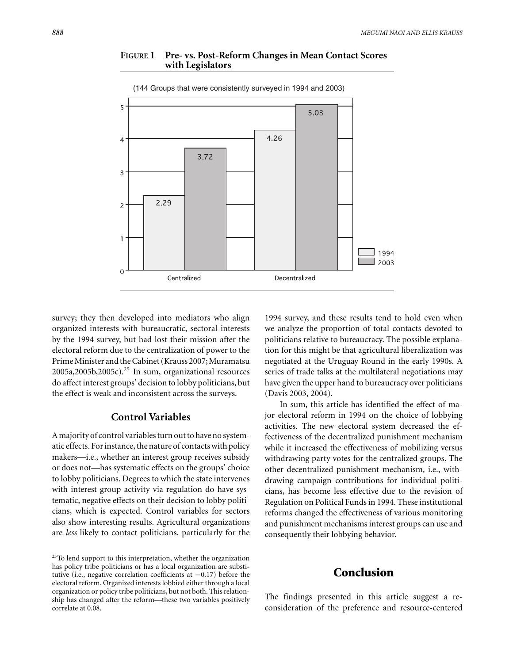



(144 Groups that were consistently surveyed in 1994 and 2003)

survey; they then developed into mediators who align organized interests with bureaucratic, sectoral interests by the 1994 survey, but had lost their mission after the electoral reform due to the centralization of power to the Prime Minister and the Cabinet (Krauss 2007; Muramatsu  $2005a, 2005b, 2005c$ .<sup>25</sup> In sum, organizational resources do affect interest groups' decision to lobby politicians, but the effect is weak and inconsistent across the surveys.

#### **Control Variables**

A majority of control variables turn out to have no systematic effects. For instance, the nature of contacts with policy makers—i.e., whether an interest group receives subsidy or does not—has systematic effects on the groups' choice to lobby politicians. Degrees to which the state intervenes with interest group activity via regulation do have systematic, negative effects on their decision to lobby politicians, which is expected. Control variables for sectors also show interesting results. Agricultural organizations are *less* likely to contact politicians, particularly for the

1994 survey, and these results tend to hold even when we analyze the proportion of total contacts devoted to politicians relative to bureaucracy. The possible explanation for this might be that agricultural liberalization was negotiated at the Uruguay Round in the early 1990s. A series of trade talks at the multilateral negotiations may have given the upper hand to bureaucracy over politicians (Davis 2003, 2004).

In sum, this article has identified the effect of major electoral reform in 1994 on the choice of lobbying activities. The new electoral system decreased the effectiveness of the decentralized punishment mechanism while it increased the effectiveness of mobilizing versus withdrawing party votes for the centralized groups. The other decentralized punishment mechanism, i.e., withdrawing campaign contributions for individual politicians, has become less effective due to the revision of Regulation on Political Funds in 1994. These institutional reforms changed the effectiveness of various monitoring and punishment mechanisms interest groups can use and consequently their lobbying behavior.

## **Conclusion**

The findings presented in this article suggest a reconsideration of the preference and resource-centered

<sup>&</sup>lt;sup>25</sup>To lend support to this interpretation, whether the organization has policy tribe politicians or has a local organization are substitutive (i.e., negative correlation coefficients at −0.17) before the electoral reform. Organized interests lobbied either through a local organization or policy tribe politicians, but not both. This relationship has changed after the reform—these two variables positively correlate at 0.08.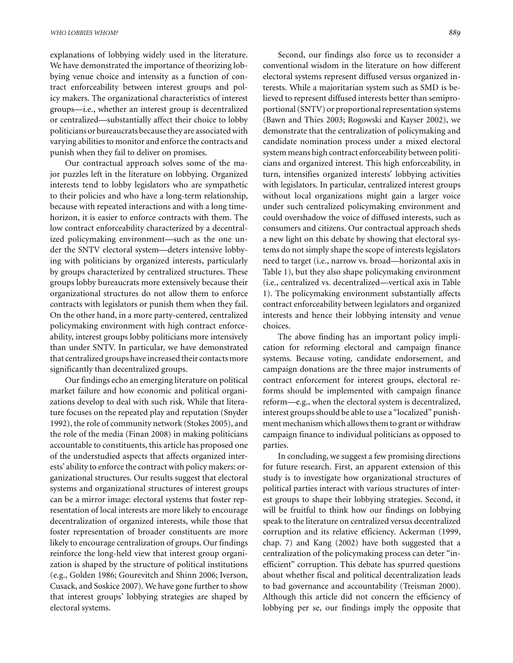explanations of lobbying widely used in the literature. We have demonstrated the importance of theorizing lobbying venue choice and intensity as a function of contract enforceability between interest groups and policy makers. The organizational characteristics of interest groups—i.e., whether an interest group is decentralized or centralized—substantially affect their choice to lobby politicians or bureaucrats because they are associated with varying abilities to monitor and enforce the contracts and punish when they fail to deliver on promises.

Our contractual approach solves some of the major puzzles left in the literature on lobbying. Organized interests tend to lobby legislators who are sympathetic to their policies and who have a long-term relationship, because with repeated interactions and with a long timehorizon, it is easier to enforce contracts with them. The low contract enforceability characterized by a decentralized policymaking environment—such as the one under the SNTV electoral system—deters intensive lobbying with politicians by organized interests, particularly by groups characterized by centralized structures. These groups lobby bureaucrats more extensively because their organizational structures do not allow them to enforce contracts with legislators or punish them when they fail. On the other hand, in a more party-centered, centralized policymaking environment with high contract enforceability, interest groups lobby politicians more intensively than under SNTV. In particular, we have demonstrated that centralized groups have increased their contacts more significantly than decentralized groups.

Our findings echo an emerging literature on political market failure and how economic and political organizations develop to deal with such risk. While that literature focuses on the repeated play and reputation (Snyder 1992), the role of community network (Stokes 2005), and the role of the media (Finan 2008) in making politicians accountable to constituents, this article has proposed one of the understudied aspects that affects organized interests' ability to enforce the contract with policy makers: organizational structures. Our results suggest that electoral systems and organizational structures of interest groups can be a mirror image: electoral systems that foster representation of local interests are more likely to encourage decentralization of organized interests, while those that foster representation of broader constituents are more likely to encourage centralization of groups. Our findings reinforce the long-held view that interest group organization is shaped by the structure of political institutions (e.g., Golden 1986; Gourevitch and Shinn 2006; Iverson, Cusack, and Soskice 2007). We have gone further to show that interest groups' lobbying strategies are shaped by electoral systems.

Second, our findings also force us to reconsider a conventional wisdom in the literature on how different electoral systems represent diffused versus organized interests. While a majoritarian system such as SMD is believed to represent diffused interests better than semiproportional (SNTV) or proportional representation systems (Bawn and Thies 2003; Rogowski and Kayser 2002), we demonstrate that the centralization of policymaking and candidate nomination process under a mixed electoral system means high contract enforceability between politicians and organized interest. This high enforceability, in turn, intensifies organized interests' lobbying activities with legislators. In particular, centralized interest groups without local organizations might gain a larger voice under such centralized policymaking environment and could overshadow the voice of diffused interests, such as consumers and citizens. Our contractual approach sheds a new light on this debate by showing that electoral systems do not simply shape the scope of interests legislators need to target (i.e., narrow vs. broad—horizontal axis in Table 1), but they also shape policymaking environment (i.e., centralized vs. decentralized—vertical axis in Table 1). The policymaking environment substantially affects contract enforceability between legislators and organized interests and hence their lobbying intensity and venue choices.

The above finding has an important policy implication for reforming electoral and campaign finance systems. Because voting, candidate endorsement, and campaign donations are the three major instruments of contract enforcement for interest groups, electoral reforms should be implemented with campaign finance reform—e.g., when the electoral system is decentralized, interest groups should be able to use a "localized" punishment mechanism which allows them to grant or withdraw campaign finance to individual politicians as opposed to parties.

In concluding, we suggest a few promising directions for future research. First, an apparent extension of this study is to investigate how organizational structures of political parties interact with various structures of interest groups to shape their lobbying strategies. Second, it will be fruitful to think how our findings on lobbying speak to the literature on centralized versus decentralized corruption and its relative efficiency. Ackerman (1999, chap. 7) and Kang (2002) have both suggested that a centralization of the policymaking process can deter "inefficient" corruption. This debate has spurred questions about whether fiscal and political decentralization leads to bad governance and accountability (Treisman 2000). Although this article did not concern the efficiency of lobbying per se, our findings imply the opposite that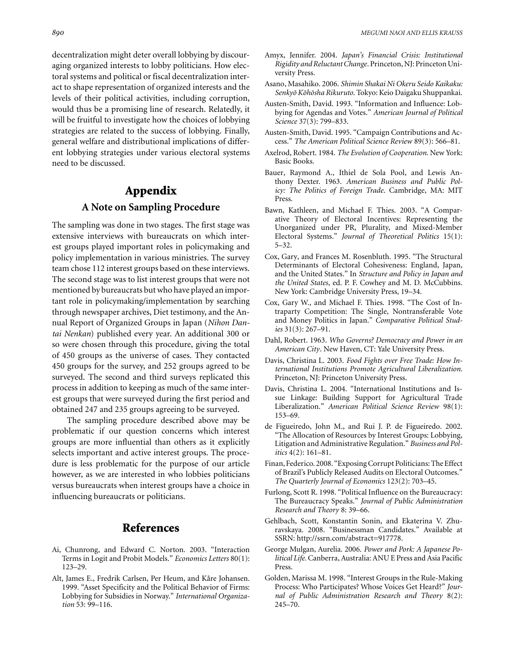decentralization might deter overall lobbying by discouraging organized interests to lobby politicians. How electoral systems and political or fiscal decentralization interact to shape representation of organized interests and the levels of their political activities, including corruption, would thus be a promising line of research. Relatedly, it will be fruitful to investigate how the choices of lobbying strategies are related to the success of lobbying. Finally, general welfare and distributional implications of different lobbying strategies under various electoral systems need to be discussed.

# **Appendix A Note on Sampling Procedure**

The sampling was done in two stages. The first stage was extensive interviews with bureaucrats on which interest groups played important roles in policymaking and policy implementation in various ministries. The survey team chose 112 interest groups based on these interviews. The second stage was to list interest groups that were not mentioned by bureaucrats but who have played an important role in policymaking/implementation by searching through newspaper archives, Diet testimony, and the Annual Report of Organized Groups in Japan (*Nihon Dantai Nenkan*) published every year. An additional 300 or so were chosen through this procedure, giving the total of 450 groups as the universe of cases. They contacted 450 groups for the survey, and 252 groups agreed to be surveyed. The second and third surveys replicated this process in addition to keeping as much of the same interest groups that were surveyed during the first period and obtained 247 and 235 groups agreeing to be surveyed.

The sampling procedure described above may be problematic if our question concerns which interest groups are more influential than others as it explicitly selects important and active interest groups. The procedure is less problematic for the purpose of our article however, as we are interested in who lobbies politicians versus bureaucrats when interest groups have a choice in influencing bureaucrats or politicians.

## **References**

- Ai, Chunrong, and Edward C. Norton. 2003. "Interaction Terms in Logit and Probit Models." *Economics Letters* 80(1): 123–29.
- Alt, James E., Fredrik Carlsen, Per Heum, and Kåre Johansen. 1999. "Asset Specificity and the Political Behavior of Firms: Lobbying for Subsidies in Norway." *International Organization* 53: 99–116.
- Amyx, Jennifer. 2004. *Japan's Financial Crisis: Institutional Rigidity and Reluctant Change*. Princeton, NJ: Princeton University Press.
- Asano, Masahiko. 2006. *Shimin Shakai Ni Okeru Seido Kaikaku: Senkyo K¯ oh¯ osha Rikuruto ¯* . Tokyo: Keio Daigaku Shuppankai.
- Austen-Smith, David. 1993. "Information and Influence: Lobbying for Agendas and Votes." *American Journal of Political Science* 37(3): 799–833.
- Austen-Smith, David. 1995. "Campaign Contributions and Access." *The American Political Science Review* 89(3): 566–81.
- Axelrod, Robert. 1984. *The Evolution of Cooperation*. New York: Basic Books.
- Bauer, Raymond A., Ithiel de Sola Pool, and Lewis Anthony Dexter. 1963. *American Business and Public Policy: The Politics of Foreign Trade*. Cambridge, MA: MIT Press.
- Bawn, Kathleen, and Michael F. Thies. 2003. "A Comparative Theory of Electoral Incentives: Representing the Unorganized under PR, Plurality, and Mixed-Member Electoral Systems." *Journal of Theoretical Politics* 15(1): 5–32.
- Cox, Gary, and Frances M. Rosenbluth. 1995. "The Structural Determinants of Electoral Cohesiveness: England, Japan, and the United States." In *Structure and Policy in Japan and the United States*, ed. P. F. Cowhey and M. D. McCubbins. New York: Cambridge University Press, 19–34.
- Cox, Gary W., and Michael F. Thies. 1998. "The Cost of Intraparty Competition: The Single, Nontransferable Vote and Money Politics in Japan." *Comparative Political Studies* 31(3): 267–91.
- Dahl, Robert. 1963. *Who Governs? Democracy and Power in an American City*. New Haven, CT: Yale University Press.
- Davis, Christina L. 2003. *Food Fights over Free Trade: How International Institutions Promote Agricultural Liberalization*. Princeton, NJ: Princeton University Press.
- Davis, Christina L. 2004. "International Institutions and Issue Linkage: Building Support for Agricultural Trade Liberalization." *American Political Science Review* 98(1): 153–69.
- de Figueiredo, John M., and Rui J. P. de Figueiredo. 2002. "The Allocation of Resources by Interest Groups: Lobbying, Litigation and Administrative Regulation." *Business and Politics* 4(2): 161–81.
- Finan, Federico. 2008. "Exposing Corrupt Politicians: The Effect of Brazil's Publicly Released Audits on Electoral Outcomes." *The Quarterly Journal of Economics* 123(2): 703–45.
- Furlong, Scott R. 1998. "Political Influence on the Bureaucracy: The Bureaucracy Speaks." *Journal of Public Administration Research and Theory* 8: 39–66.
- Gehlbach, Scott, Konstantin Sonin, and Ekaterina V. Zhuravskaya. 2008. "Businessman Candidates." Available at SSRN: http://ssrn.com/abstract=917778.
- George Mulgan, Aurelia. 2006. *Power and Pork: A Japanese Political Life.* Canberra, Australia: ANU E Press and Asia Pacific Press.
- Golden, Marissa M. 1998. "Interest Groups in the Rule-Making Process: Who Participates? Whose Voices Get Heard?" *Journal of Public Administration Research and Theory* 8(2): 245–70.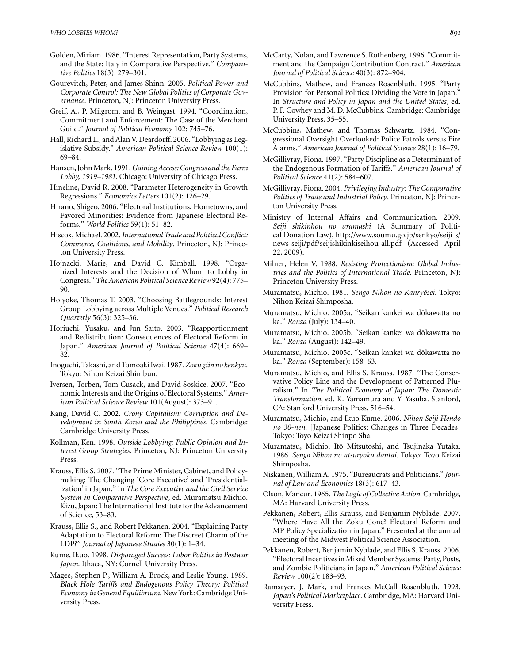- Golden, Miriam. 1986. "Interest Representation, Party Systems, and the State: Italy in Comparative Perspective." *Comparative Politics* 18(3): 279–301.
- Gourevitch, Peter, and James Shinn. 2005. *Political Power and Corporate Control: The New Global Politics of Corporate Governance*. Princeton, NJ: Princeton University Press.
- Greif, A., P. Milgrom, and B. Weingast. 1994. "Coordination, Commitment and Enforcement: The Case of the Merchant Guild." *Journal of Political Economy* 102: 745–76.
- Hall, Richard L., and Alan V. Deardorff. 2006. "Lobbying as Legislative Subsidy." *American Political Science Review* 100(1): 69–84.
- Hansen, John Mark. 1991.*Gaining Access: Congress andthe Farm Lobby, 1919–1981*. Chicago: University of Chicago Press.
- Hineline, David R. 2008. "Parameter Heterogeneity in Growth Regressions." *Economics Letters* 101(2): 126–29.
- Hirano, Shigeo. 2006. "Electoral Institutions, Hometowns, and Favored Minorities: Evidence from Japanese Electoral Reforms." *World Politics* 59(1): 51–82.
- Hiscox, Michael. 2002.*International Trade and Political Conflict: Commerce, Coalitions, and Mobility*. Princeton, NJ: Princeton University Press.
- Hojnacki, Marie, and David C. Kimball. 1998. "Organized Interests and the Decision of Whom to Lobby in Congress."*The American Political Science Review* 92(4): 775– 90.
- Holyoke, Thomas T. 2003. "Choosing Battlegrounds: Interest Group Lobbying across Multiple Venues." *Political Research Quarterly* 56(3): 325–36.
- Horiuchi, Yusaku, and Jun Saito. 2003. "Reapportionment and Redistribution: Consequences of Electoral Reform in Japan." *American Journal of Political Science* 47(4): 669– 82.
- Inoguchi, Takashi, and Tomoaki Iwai. 1987.*Zoku giin no kenkyu*. Tokyo: Nihon Keizai Shimbun.
- Iversen, Torben, Tom Cusack, and David Soskice. 2007. "Economic Interests and the Origins of Electoral Systems." *American Political Science Review* 101(August): 373–91.
- Kang, David C. 2002. *Crony Capitalism: Corruption and Development in South Korea and the Philippines*. Cambridge: Cambridge University Press.
- Kollman, Ken. 1998. *Outside Lobbying: Public Opinion and Interest Group Strategies*. Princeton, NJ: Princeton University Press.
- Krauss, Ellis S. 2007. "The Prime Minister, Cabinet, and Policymaking: The Changing 'Core Executive' and 'Presidentialization' in Japan." In *The Core Executive and the Civil Service System in Comparative Perspective*, ed. Muramatsu Michio. Kizu, Japan: The International Institute for the Advancement of Science, 53–83.
- Krauss, Ellis S., and Robert Pekkanen. 2004. "Explaining Party Adaptation to Electoral Reform: The Discreet Charm of the LDP?" *Journal of Japanese Studies* 30(1): 1–34.
- Kume, Ikuo. 1998. *Disparaged Success: Labor Politics in Postwar Japan*. Ithaca, NY: Cornell University Press.
- Magee, Stephen P., William A. Brock, and Leslie Young. 1989. *Black Hole Tariffs and Endogenous Policy Theory: Political Economy in General Equilibrium*. New York: Cambridge University Press.
- McCarty, Nolan, and Lawrence S. Rothenberg. 1996. "Commitment and the Campaign Contribution Contract." *American Journal of Political Science* 40(3): 872–904.
- McCubbins, Mathew, and Frances Rosenbluth. 1995. "Party Provision for Personal Politics: Dividing the Vote in Japan." In *Structure and Policy in Japan and the United States*, ed. P. F. Cowhey and M. D. McCubbins. Cambridge: Cambridge University Press, 35–55.
- McCubbins, Mathew, and Thomas Schwartz. 1984. "Congressional Oversight Overlooked: Police Patrols versus Fire Alarms." *American Journal of Political Science* 28(1): 16–79.
- McGillivray, Fiona. 1997. "Party Discipline as a Determinant of the Endogenous Formation of Tariffs." *American Journal of Political Science* 41(2): 584–607.
- McGillivray, Fiona. 2004. *Privileging Industry: The Comparative Politics of Trade and Industrial Policy*. Princeton, NJ: Princeton University Press.
- Ministry of Internal Affairs and Communication. 2009. *Seiji shikinhou no aramashi* (A Summary of Political Donation Law), http://www.soumu.go.jp/senkyo/seiji s/ news seiji/pdf/seijishikinkiseihou all.pdf (Accessed April 22, 2009).
- Milner, Helen V. 1988. *Resisting Protectionism: Global Industries and the Politics of International Trade*. Princeton, NJ: Princeton University Press.
- Muramatsu, Michio. 1981. *Sengo Nihon no Kanryosei ¯* . Tokyo: Nihon Keizai Shimposha.
- Muramatsu, Michio. 2005a. "Seikan kankei wa dokawatta no ¯ ka." *Ronza* (July): 134–40.
- Muramatsu, Michio. 2005b. "Seikan kankei wa dokawatta no ¯ ka." *Ronza* (August): 142–49.
- Muramatsu, Michio. 2005c. "Seikan kankei wa dokawatta no ¯ ka." *Ronza* (September): 158–63.
- Muramatsu, Michio, and Ellis S. Krauss. 1987. "The Conservative Policy Line and the Development of Patterned Pluralism." In *The Political Economy of Japan: The Domestic Transformation*, ed. K. Yamamura and Y. Yasuba. Stanford, CA: Stanford University Press, 516–54.
- Muramatsu, Michio, and Ikuo Kume. 2006. *Nihon Seiji Hendo no 30-nen*. [Japanese Politics: Changes in Three Decades] Tokyo: Toyo Keizai Shinpo Sha.
- Muramatsu, Michio, Ito Mitsutoshi, and Tsujinaka Yutaka. ¯ 1986. *Sengo Nihon no atsuryoku dantai*. Tokyo: Toyo Keizai Shimposha.
- Niskanen, William A. 1975. "Bureaucrats and Politicians." *Journal of Law and Economics* 18(3): 617–43.
- Olson, Mancur. 1965. *The Logic of Collective Action*. Cambridge, MA: Harvard University Press.
- Pekkanen, Robert, Ellis Krauss, and Benjamin Nyblade. 2007. "Where Have All the Zoku Gone? Electoral Reform and MP Policy Specialization in Japan." Presented at the annual meeting of the Midwest Political Science Association.
- Pekkanen, Robert, Benjamin Nyblade, and Ellis S. Krauss. 2006. "Electoral Incentives in Mixed Member Systems: Party, Posts, and Zombie Politicians in Japan." *American Political Science Review* 100(2): 183–93.
- Ramsayer, J. Mark, and Frances McCall Rosenbluth. 1993. *Japan's Political Marketplace.* Cambridge, MA: Harvard University Press.